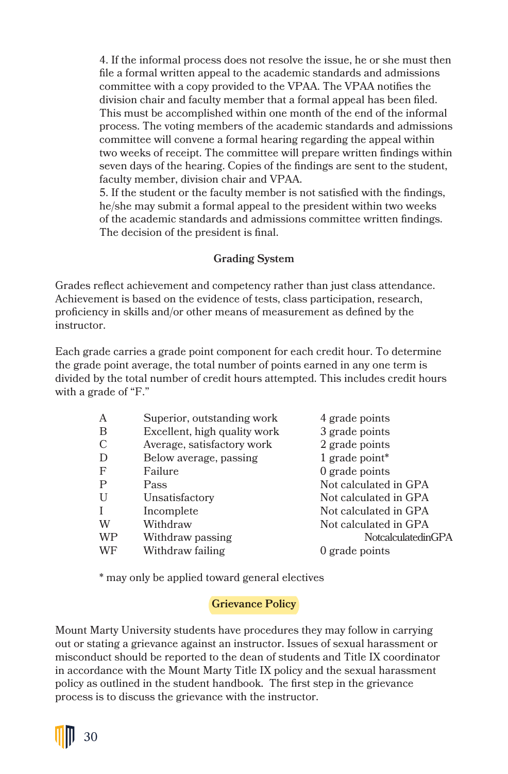4. If the informal process does not resolve the issue, he or she must then file a formal written appeal to the academic standards and admissions committee with a copy provided to the VPAA. The VPAA notifies the division chair and faculty member that a formal appeal has been filed. This must be accomplished within one month of the end of the informal process. The voting members of the academic standards and admissions committee will convene a formal hearing regarding the appeal within two weeks of receipt. The committee will prepare written findings within seven days of the hearing. Copies of the findings are sent to the student, faculty member, division chair and VPAA.

5. If the student or the faculty member is not satisfied with the findings, he/she may submit a formal appeal to the president within two weeks of the academic standards and admissions committee written findings. The decision of the president is final.

## **Grading System**

Grades reflect achievement and competency rather than just class attendance. Achievement is based on the evidence of tests, class participation, research, proficiency in skills and/or other means of measurement as defined by the instructor.

Each grade carries a grade point component for each credit hour. To determine the grade point average, the total number of points earned in any one term is divided by the total number of credit hours attempted. This includes credit hours with a grade of "F."

| A            | Superior, outstanding work   | 4 grade points        |
|--------------|------------------------------|-----------------------|
| B            | Excellent, high quality work | 3 grade points        |
| C            | Average, satisfactory work   | 2 grade points        |
| D            | Below average, passing       | 1 grade point*        |
| $\mathbf{F}$ | Failure                      | 0 grade points        |
| P            | Pass                         | Not calculated in GPA |
| U            | Unsatisfactory               | Not calculated in GPA |
| T            | Incomplete                   | Not calculated in GPA |
| W            | Withdraw                     | Not calculated in GPA |
| <b>WP</b>    | Withdraw passing             | NotcalculatedinGPA    |
| WF           | Withdraw failing             | 0 grade points        |
|              |                              |                       |

\* may only be applied toward general electives

## **Grievance Policy**

Mount Marty University students have procedures they may follow in carrying out or stating a grievance against an instructor. Issues of sexual harassment or misconduct should be reported to the dean of students and Title IX coordinator in accordance with the Mount Marty Title IX policy and the sexual harassment policy as outlined in the student handbook. The first step in the grievance process is to discuss the grievance with the instructor.